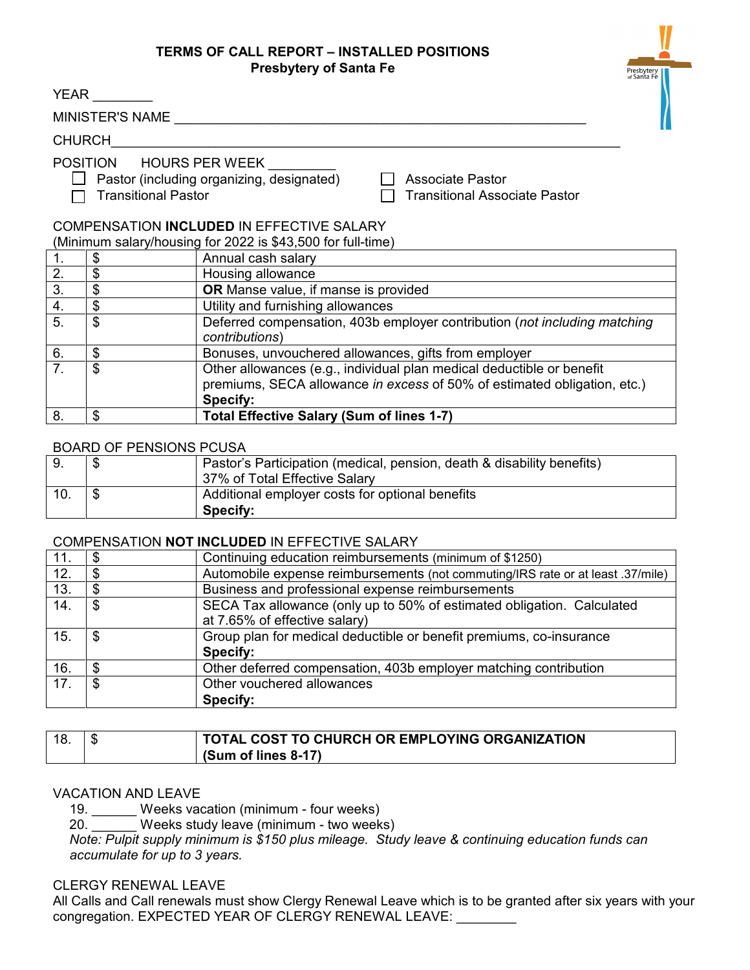## **TERMS OF CALL REPORT – INSTALLED POSITIONS Presbytery of Santa Fe**

| <b>Presbytery of Santa Fe</b>                                                                                                                                         |                                |                                                                                                                                                               |  |  |  |  |  |  |
|-----------------------------------------------------------------------------------------------------------------------------------------------------------------------|--------------------------------|---------------------------------------------------------------------------------------------------------------------------------------------------------------|--|--|--|--|--|--|
|                                                                                                                                                                       | <b>YEAR</b>                    |                                                                                                                                                               |  |  |  |  |  |  |
| MINISTER'S NAME                                                                                                                                                       |                                |                                                                                                                                                               |  |  |  |  |  |  |
| <b>CHURCH</b>                                                                                                                                                         |                                |                                                                                                                                                               |  |  |  |  |  |  |
| POSITION HOURS PER WEEK<br>Pastor (including organizing, designated)<br><b>Associate Pastor</b><br><b>Transitional Pastor</b><br><b>Transitional Associate Pastor</b> |                                |                                                                                                                                                               |  |  |  |  |  |  |
| <b>COMPENSATION INCLUDED IN EFFECTIVE SALARY</b><br>(Minimum salary/housing for 2022 is \$43,500 for full-time)                                                       |                                |                                                                                                                                                               |  |  |  |  |  |  |
| 1.                                                                                                                                                                    | \$                             | Annual cash salary                                                                                                                                            |  |  |  |  |  |  |
| $\overline{2}$ .                                                                                                                                                      | \$                             | Housing allowance                                                                                                                                             |  |  |  |  |  |  |
| $\overline{3}$ .                                                                                                                                                      | \$                             | <b>OR</b> Manse value, if manse is provided                                                                                                                   |  |  |  |  |  |  |
| 4.                                                                                                                                                                    | $\frac{1}{2}$                  | Utility and furnishing allowances                                                                                                                             |  |  |  |  |  |  |
| $\overline{5}$ .                                                                                                                                                      | \$                             | Deferred compensation, 403b employer contribution (not including matching<br>contributions)                                                                   |  |  |  |  |  |  |
| 6.                                                                                                                                                                    | \$                             | Bonuses, unvouchered allowances, gifts from employer                                                                                                          |  |  |  |  |  |  |
| $\overline{7}$ .                                                                                                                                                      | \$                             | Other allowances (e.g., individual plan medical deductible or benefit<br>premiums, SECA allowance in excess of 50% of estimated obligation, etc.)<br>Specify: |  |  |  |  |  |  |
| 8.                                                                                                                                                                    | \$                             | Total Effective Salary (Sum of lines 1-7)                                                                                                                     |  |  |  |  |  |  |
|                                                                                                                                                                       | <b>BOARD OF PENSIONS PCUSA</b> |                                                                                                                                                               |  |  |  |  |  |  |
| 9.                                                                                                                                                                    | \$                             | Pastor's Participation (medical, pension, death & disability benefits)                                                                                        |  |  |  |  |  |  |

## 9. \$ Pastor's Participation (medical, pension, death & disability benefits) 37% of Total Effective Salary 10. \$ Additional employer costs for optional benefits **Specify:**

## COMPENSATION **NOT INCLUDED** IN EFFECTIVE SALARY

| 11. | Continuing education reimbursements (minimum of \$1250)                         |
|-----|---------------------------------------------------------------------------------|
| 12. | Automobile expense reimbursements (not commuting/IRS rate or at least .37/mile) |
| 13. | Business and professional expense reimbursements                                |
| 14. | SECA Tax allowance (only up to 50% of estimated obligation. Calculated          |
|     | at 7.65% of effective salary)                                                   |
| 15. | \$<br>Group plan for medical deductible or benefit premiums, co-insurance       |
|     | Specify:                                                                        |
| 16. | Other deferred compensation, 403b employer matching contribution                |
| 17. | \$<br>Other vouchered allowances                                                |
|     | Specify:                                                                        |

|  | <b>TOTAL COST TO CHURCH OR EMPLOYING ORGANIZATION</b> |
|--|-------------------------------------------------------|
|  | (Sum of lines 8-17)                                   |

## VACATION AND LEAVE

19. \_\_\_\_\_\_ Weeks vacation (minimum - four weeks)

20. Weeks study leave (minimum - two weeks)

*Note: Pulpit supply minimum is \$150 plus mileage. Study leave & continuing education funds can accumulate for up to 3 years.*

CLERGY RENEWAL LEAVE

All Calls and Call renewals must show Clergy Renewal Leave which is to be granted after six years with your congregation. EXPECTED YEAR OF CLERGY RENEWAL LEAVE: